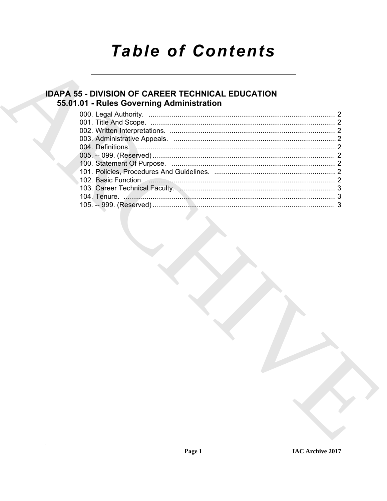# **Table of Contents**

# **IDAPA 55 - DIVISION OF CAREER TECHNICAL EDUCATION** 55.01.01 - Rules Governing Administration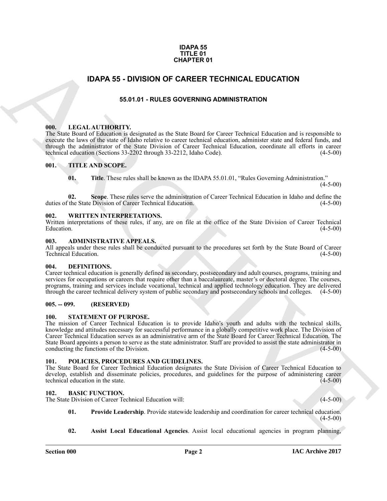#### **IDAPA 55 TITLE 01 CHAPTER 01**

## <span id="page-1-0"></span>**IDAPA 55 - DIVISION OF CAREER TECHNICAL EDUCATION**

#### **55.01.01 - RULES GOVERNING ADMINISTRATION**

#### <span id="page-1-2"></span><span id="page-1-1"></span>**000. LEGAL AUTHORITY.**

The State Board of Education is designated as the State Board for Career Technical Education and is responsible to execute the laws of the state of Idaho relative to career technical education, administer state and federal funds, and through the administrator of the State Division of Career Technical Education, coordinate all efforts in career technical education (Sections 33-2202 through 33-2212, Idaho Code). technical education (Sections 33-2202 through 33-2212, Idaho Code).

#### <span id="page-1-3"></span>**001. TITLE AND SCOPE.**

**01. Title**. These rules shall be known as the IDAPA 55.01.01, "Rules Governing Administration."  $(4-5-00)$ 

**02. Scope**. These rules serve the administration of Career Technical Education in Idaho and define the duties of the State Division of Career Technical Education. (4-5-00)

#### <span id="page-1-4"></span>**002. WRITTEN INTERPRETATIONS.**

Written interpretations of these rules, if any, are on file at the office of the State Division of Career Technical Education. (4-5-00)  $\mu$  Education.  $(4-5-00)$ 

#### <span id="page-1-5"></span>**003. ADMINISTRATIVE APPEALS.**

All appeals under these rules shall be conducted pursuant to the procedures set forth by the State Board of Career<br>Technical Education. (4-5-00) Technical Education.

#### <span id="page-1-14"></span><span id="page-1-6"></span>**004. DEFINITIONS.**

Career technical education is generally defined as secondary, postsecondary and adult courses, programs, training and services for occupations or careers that require other than a baccalaureate, master's or doctoral degree. The courses, programs, training and services include vocational, technical and applied technology education. They are delivered through the career technical delivery system of public secondary and postsecondary schools and colleges. (4-5-00)

#### <span id="page-1-7"></span>**005. -- 099. (RESERVED)**

#### <span id="page-1-16"></span><span id="page-1-8"></span>**100. STATEMENT OF PURPOSE.**

**IDAPA 55 - DIVISION OF CAREER TECHNICAL EDUCATION**<br> **EACH AT THE SACTAIT REPORT OF THE SACTAIT CONTINUES AND INTERFERENCE INTERFERENCE INTERFERENCE INTERFERENCE INTERFERENCE INTERFERENCE INTERFERENCE INTERFERENCE INTERFE** The mission of Career Technical Education is to provide Idaho's youth and adults with the technical skills, knowledge and attitudes necessary for successful performance in a globally competitive work place. The Division of Career Technical Education serves as an administrative arm of the State Board for Career Technical Education. The State Board appoints a person to serve as the state administrator. Staff are provided to assist the state administrator in conducting the functions of the Division.

#### <span id="page-1-15"></span><span id="page-1-9"></span>**101. POLICIES, PROCEDURES AND GUIDELINES.**

The State Board for Career Technical Education designates the State Division of Career Technical Education to develop, establish and disseminate policies, procedures, and guidelines for the purpose of administering career<br>technical education in the state. technical education in the state.

#### <span id="page-1-11"></span><span id="page-1-10"></span>**102. BASIC FUNCTION.**

The State Division of Career Technical Education will: (4-5-00)

- <span id="page-1-13"></span>**01. Provide Leadership**. Provide statewide leadership and coordination for career technical education. (4-5-00)
- <span id="page-1-12"></span>**02. Assist Local Educational Agencies**. Assist local educational agencies in program planning,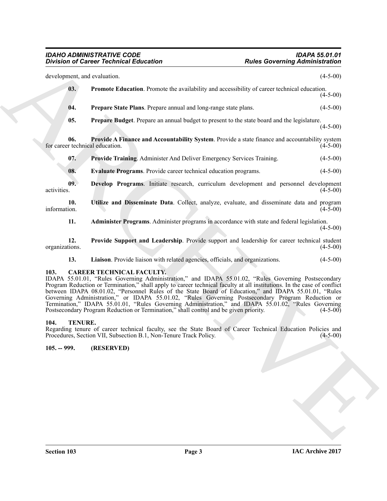<span id="page-2-10"></span><span id="page-2-9"></span><span id="page-2-8"></span><span id="page-2-7"></span>

| development, and evaluation.<br>03.<br>Promote Education. Promote the availability and accessibility of career technical education.<br>Prepare State Plans. Prepare annual and long-range state plans.<br>04.<br>05.<br><b>Prepare Budget.</b> Prepare an annual budget to present to the state board and the legislature.<br>06.<br>Provide A Finance and Accountability System. Provide a state finance and accountability system<br>for career technical education.<br>07.<br>Provide Training. Administer And Deliver Emergency Services Training.<br>08.<br>Evaluate Programs. Provide career technical education programs.<br>09.<br>Develop Programs. Initiate research, curriculum development and personnel development<br>activities.<br>Utilize and Disseminate Data. Collect, analyze, evaluate, and disseminate data and program<br>10.<br>information.<br>Administer Programs. Administer programs in accordance with state and federal legislation.<br>11.<br>Provide Support and Leadership. Provide support and leadership for career technical student<br>12.<br>organizations.<br>Liaison. Provide liaison with related agencies, officials, and organizations.<br>13.<br>103.<br><b>CAREER TECHNICAL FACULTY.</b><br>IDAPA 55.01.01, "Rules Governing Administration," and IDAPA 55.01.02, "Rules Governing Postsecondary<br>Program Reduction or Termination," shall apply to career technical faculty at all institutions. In the case of conflict<br>between IDAPA 08.01.02, "Personnel Rules of the State Board of Education," and IDAPA 55.01.01, "Rules<br>Governing Administration," or IDAPA 55.01.02, "Rules Governing Postsecondary Program Reduction or<br>Termination," IDAPA 55.01.01, "Rules Governing Administration," and IDAPA 55.01.02, "Rules Governing<br>Postsecondary Program Reduction or Termination," shall control and be given priority.<br>104.<br><b>TENURE.</b><br>Regarding tenure of career technical faculty, see the State Board of Career Technical Education Policies and<br>Procedures, Section VII, Subsection B.1, Non-Tenure Track Policy.<br>$105. - 999.$<br>(RESERVED) | <b>Division of Career Technical Education</b> | <b>Rules Governing Administration</b> |            |
|---------------------------------------------------------------------------------------------------------------------------------------------------------------------------------------------------------------------------------------------------------------------------------------------------------------------------------------------------------------------------------------------------------------------------------------------------------------------------------------------------------------------------------------------------------------------------------------------------------------------------------------------------------------------------------------------------------------------------------------------------------------------------------------------------------------------------------------------------------------------------------------------------------------------------------------------------------------------------------------------------------------------------------------------------------------------------------------------------------------------------------------------------------------------------------------------------------------------------------------------------------------------------------------------------------------------------------------------------------------------------------------------------------------------------------------------------------------------------------------------------------------------------------------------------------------------------------------------------------------------------------------------------------------------------------------------------------------------------------------------------------------------------------------------------------------------------------------------------------------------------------------------------------------------------------------------------------------------------------------------------------------------------------------------------------------------------------------------------------------------------------------|-----------------------------------------------|---------------------------------------|------------|
|                                                                                                                                                                                                                                                                                                                                                                                                                                                                                                                                                                                                                                                                                                                                                                                                                                                                                                                                                                                                                                                                                                                                                                                                                                                                                                                                                                                                                                                                                                                                                                                                                                                                                                                                                                                                                                                                                                                                                                                                                                                                                                                                       |                                               |                                       | $(4-5-00)$ |
|                                                                                                                                                                                                                                                                                                                                                                                                                                                                                                                                                                                                                                                                                                                                                                                                                                                                                                                                                                                                                                                                                                                                                                                                                                                                                                                                                                                                                                                                                                                                                                                                                                                                                                                                                                                                                                                                                                                                                                                                                                                                                                                                       |                                               |                                       | $(4-5-00)$ |
|                                                                                                                                                                                                                                                                                                                                                                                                                                                                                                                                                                                                                                                                                                                                                                                                                                                                                                                                                                                                                                                                                                                                                                                                                                                                                                                                                                                                                                                                                                                                                                                                                                                                                                                                                                                                                                                                                                                                                                                                                                                                                                                                       |                                               |                                       | $(4-5-00)$ |
|                                                                                                                                                                                                                                                                                                                                                                                                                                                                                                                                                                                                                                                                                                                                                                                                                                                                                                                                                                                                                                                                                                                                                                                                                                                                                                                                                                                                                                                                                                                                                                                                                                                                                                                                                                                                                                                                                                                                                                                                                                                                                                                                       |                                               |                                       | $(4-5-00)$ |
|                                                                                                                                                                                                                                                                                                                                                                                                                                                                                                                                                                                                                                                                                                                                                                                                                                                                                                                                                                                                                                                                                                                                                                                                                                                                                                                                                                                                                                                                                                                                                                                                                                                                                                                                                                                                                                                                                                                                                                                                                                                                                                                                       |                                               |                                       | $(4-5-00)$ |
|                                                                                                                                                                                                                                                                                                                                                                                                                                                                                                                                                                                                                                                                                                                                                                                                                                                                                                                                                                                                                                                                                                                                                                                                                                                                                                                                                                                                                                                                                                                                                                                                                                                                                                                                                                                                                                                                                                                                                                                                                                                                                                                                       |                                               |                                       | $(4-5-00)$ |
|                                                                                                                                                                                                                                                                                                                                                                                                                                                                                                                                                                                                                                                                                                                                                                                                                                                                                                                                                                                                                                                                                                                                                                                                                                                                                                                                                                                                                                                                                                                                                                                                                                                                                                                                                                                                                                                                                                                                                                                                                                                                                                                                       |                                               |                                       | $(4-5-00)$ |
|                                                                                                                                                                                                                                                                                                                                                                                                                                                                                                                                                                                                                                                                                                                                                                                                                                                                                                                                                                                                                                                                                                                                                                                                                                                                                                                                                                                                                                                                                                                                                                                                                                                                                                                                                                                                                                                                                                                                                                                                                                                                                                                                       |                                               |                                       | $(4-5-00)$ |
|                                                                                                                                                                                                                                                                                                                                                                                                                                                                                                                                                                                                                                                                                                                                                                                                                                                                                                                                                                                                                                                                                                                                                                                                                                                                                                                                                                                                                                                                                                                                                                                                                                                                                                                                                                                                                                                                                                                                                                                                                                                                                                                                       |                                               |                                       | $(4-5-00)$ |
|                                                                                                                                                                                                                                                                                                                                                                                                                                                                                                                                                                                                                                                                                                                                                                                                                                                                                                                                                                                                                                                                                                                                                                                                                                                                                                                                                                                                                                                                                                                                                                                                                                                                                                                                                                                                                                                                                                                                                                                                                                                                                                                                       |                                               |                                       | $(4-5-00)$ |
|                                                                                                                                                                                                                                                                                                                                                                                                                                                                                                                                                                                                                                                                                                                                                                                                                                                                                                                                                                                                                                                                                                                                                                                                                                                                                                                                                                                                                                                                                                                                                                                                                                                                                                                                                                                                                                                                                                                                                                                                                                                                                                                                       |                                               |                                       | $(4-5-00)$ |
|                                                                                                                                                                                                                                                                                                                                                                                                                                                                                                                                                                                                                                                                                                                                                                                                                                                                                                                                                                                                                                                                                                                                                                                                                                                                                                                                                                                                                                                                                                                                                                                                                                                                                                                                                                                                                                                                                                                                                                                                                                                                                                                                       |                                               |                                       | $(4-5-00)$ |
|                                                                                                                                                                                                                                                                                                                                                                                                                                                                                                                                                                                                                                                                                                                                                                                                                                                                                                                                                                                                                                                                                                                                                                                                                                                                                                                                                                                                                                                                                                                                                                                                                                                                                                                                                                                                                                                                                                                                                                                                                                                                                                                                       |                                               |                                       | $(4-5-00)$ |
|                                                                                                                                                                                                                                                                                                                                                                                                                                                                                                                                                                                                                                                                                                                                                                                                                                                                                                                                                                                                                                                                                                                                                                                                                                                                                                                                                                                                                                                                                                                                                                                                                                                                                                                                                                                                                                                                                                                                                                                                                                                                                                                                       |                                               |                                       | $(4-5-00)$ |
|                                                                                                                                                                                                                                                                                                                                                                                                                                                                                                                                                                                                                                                                                                                                                                                                                                                                                                                                                                                                                                                                                                                                                                                                                                                                                                                                                                                                                                                                                                                                                                                                                                                                                                                                                                                                                                                                                                                                                                                                                                                                                                                                       |                                               |                                       |            |
|                                                                                                                                                                                                                                                                                                                                                                                                                                                                                                                                                                                                                                                                                                                                                                                                                                                                                                                                                                                                                                                                                                                                                                                                                                                                                                                                                                                                                                                                                                                                                                                                                                                                                                                                                                                                                                                                                                                                                                                                                                                                                                                                       |                                               |                                       |            |
|                                                                                                                                                                                                                                                                                                                                                                                                                                                                                                                                                                                                                                                                                                                                                                                                                                                                                                                                                                                                                                                                                                                                                                                                                                                                                                                                                                                                                                                                                                                                                                                                                                                                                                                                                                                                                                                                                                                                                                                                                                                                                                                                       |                                               |                                       |            |
|                                                                                                                                                                                                                                                                                                                                                                                                                                                                                                                                                                                                                                                                                                                                                                                                                                                                                                                                                                                                                                                                                                                                                                                                                                                                                                                                                                                                                                                                                                                                                                                                                                                                                                                                                                                                                                                                                                                                                                                                                                                                                                                                       |                                               |                                       |            |
|                                                                                                                                                                                                                                                                                                                                                                                                                                                                                                                                                                                                                                                                                                                                                                                                                                                                                                                                                                                                                                                                                                                                                                                                                                                                                                                                                                                                                                                                                                                                                                                                                                                                                                                                                                                                                                                                                                                                                                                                                                                                                                                                       |                                               |                                       |            |
|                                                                                                                                                                                                                                                                                                                                                                                                                                                                                                                                                                                                                                                                                                                                                                                                                                                                                                                                                                                                                                                                                                                                                                                                                                                                                                                                                                                                                                                                                                                                                                                                                                                                                                                                                                                                                                                                                                                                                                                                                                                                                                                                       |                                               |                                       |            |
|                                                                                                                                                                                                                                                                                                                                                                                                                                                                                                                                                                                                                                                                                                                                                                                                                                                                                                                                                                                                                                                                                                                                                                                                                                                                                                                                                                                                                                                                                                                                                                                                                                                                                                                                                                                                                                                                                                                                                                                                                                                                                                                                       |                                               |                                       |            |

#### <span id="page-2-14"></span><span id="page-2-13"></span><span id="page-2-12"></span><span id="page-2-11"></span><span id="page-2-6"></span><span id="page-2-5"></span><span id="page-2-4"></span><span id="page-2-3"></span><span id="page-2-0"></span>**103. CAREER TECHNICAL FACULTY.**

#### <span id="page-2-15"></span><span id="page-2-1"></span>**104. TENURE.**

### <span id="page-2-2"></span>**105. -- 999. (RESERVED)**